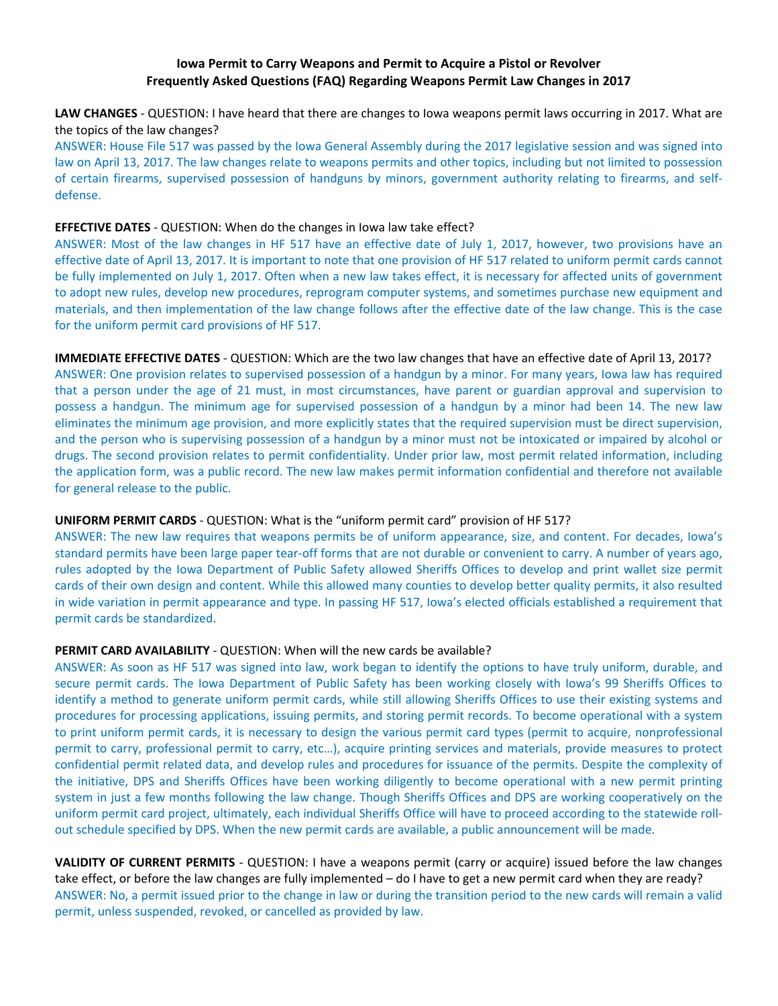## **Iowa Permit to Carry Weapons and Permit to Acquire a Pistol or Revolver Frequently Asked Questions (FAQ) Regarding Weapons Permit Law Changes in 2017**

**LAW CHANGES** ‐ QUESTION: I have heard that there are changes to Iowa weapons permit laws occurring in 2017. What are the topics of the law changes?

ANSWER: House File 517 was passed by the Iowa General Assembly during the 2017 legislative session and was signed into law on April 13, 2017. The law changes relate to weapons permits and other topics, including but not limited to possession of certain firearms, supervised possession of handguns by minors, government authority relating to firearms, and self‐ defense.

#### **EFFECTIVE DATES** ‐ QUESTION: When do the changes in Iowa law take effect?

ANSWER: Most of the law changes in HF 517 have an effective date of July 1, 2017, however, two provisions have an effective date of April 13, 2017. It is important to note that one provision of HF 517 related to uniform permit cards cannot be fully implemented on July 1, 2017. Often when a new law takes effect, it is necessary for affected units of government to adopt new rules, develop new procedures, reprogram computer systems, and sometimes purchase new equipment and materials, and then implementation of the law change follows after the effective date of the law change. This is the case for the uniform permit card provisions of HF 517.

**IMMEDIATE EFFECTIVE DATES** ‐ QUESTION: Which are the two law changes that have an effective date of April 13, 2017? ANSWER: One provision relates to supervised possession of a handgun by a minor. For many years, Iowa law has required that a person under the age of 21 must, in most circumstances, have parent or guardian approval and supervision to possess a handgun. The minimum age for supervised possession of a handgun by a minor had been 14. The new law eliminates the minimum age provision, and more explicitly states that the required supervision must be direct supervision, and the person who is supervising possession of a handgun by a minor must not be intoxicated or impaired by alcohol or drugs. The second provision relates to permit confidentiality. Under prior law, most permit related information, including the application form, was a public record. The new law makes permit information confidential and therefore not available for general release to the public.

### **UNIFORM PERMIT CARDS** ‐ QUESTION: What is the "uniform permit card" provision of HF 517?

ANSWER: The new law requires that weapons permits be of uniform appearance, size, and content. For decades, Iowa's standard permits have been large paper tear‐off forms that are not durable or convenient to carry. A number of years ago, rules adopted by the Iowa Department of Public Safety allowed Sheriffs Offices to develop and print wallet size permit cards of their own design and content. While this allowed many counties to develop better quality permits, it also resulted in wide variation in permit appearance and type. In passing HF 517, Iowa's elected officials established a requirement that permit cards be standardized.

### **PERMIT CARD AVAILABILITY** ‐ QUESTION: When will the new cards be available?

ANSWER: As soon as HF 517 was signed into law, work began to identify the options to have truly uniform, durable, and secure permit cards. The Iowa Department of Public Safety has been working closely with Iowa's 99 Sheriffs Offices to identify a method to generate uniform permit cards, while still allowing Sheriffs Offices to use their existing systems and procedures for processing applications, issuing permits, and storing permit records. To become operational with a system to print uniform permit cards, it is necessary to design the various permit card types (permit to acquire, nonprofessional permit to carry, professional permit to carry, etc…), acquire printing services and materials, provide measures to protect confidential permit related data, and develop rules and procedures for issuance of the permits. Despite the complexity of the initiative, DPS and Sheriffs Offices have been working diligently to become operational with a new permit printing system in just a few months following the law change. Though Sheriffs Offices and DPS are working cooperatively on the uniform permit card project, ultimately, each individual Sheriffs Office will have to proceed according to the statewide roll‐ out schedule specified by DPS. When the new permit cards are available, a public announcement will be made.

**VALIDITY OF CURRENT PERMITS** ‐ QUESTION: I have a weapons permit (carry or acquire) issued before the law changes take effect, or before the law changes are fully implemented – do I have to get a new permit card when they are ready? ANSWER: No, a permit issued prior to the change in law or during the transition period to the new cards will remain a valid permit, unless suspended, revoked, or cancelled as provided by law.